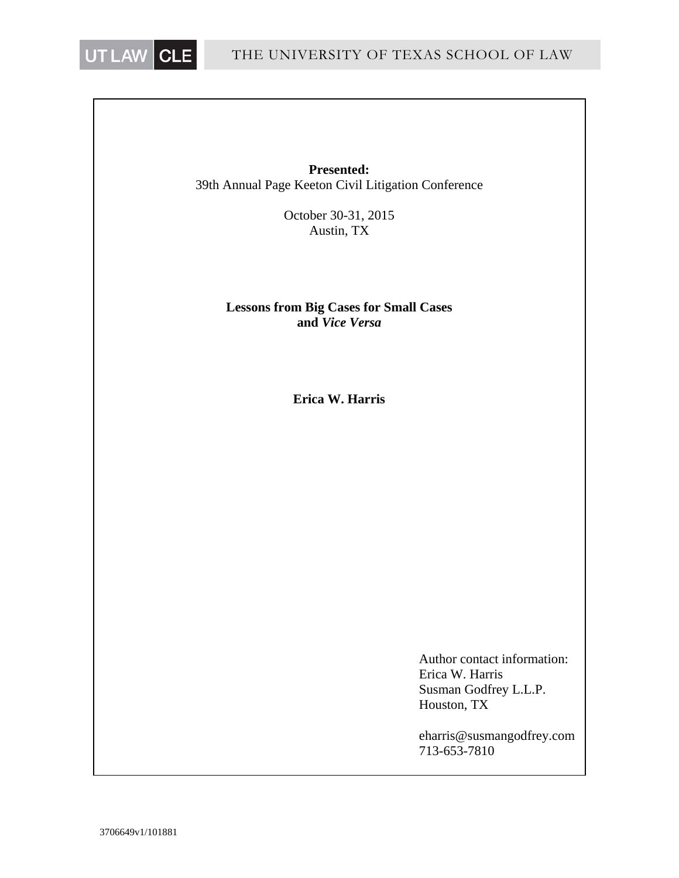

**Presented:** 39th Annual Page Keeton Civil Litigation Conference

> October 30-31, 2015 Austin, TX

## **Lessons from Big Cases for Small Cases and** *Vice Versa*

**Erica W. Harris** 

 Author contact information: Erica W. Harris Susman Godfrey L.L.P. Houston, TX

 eharris@susmangodfrey.com 713-653-7810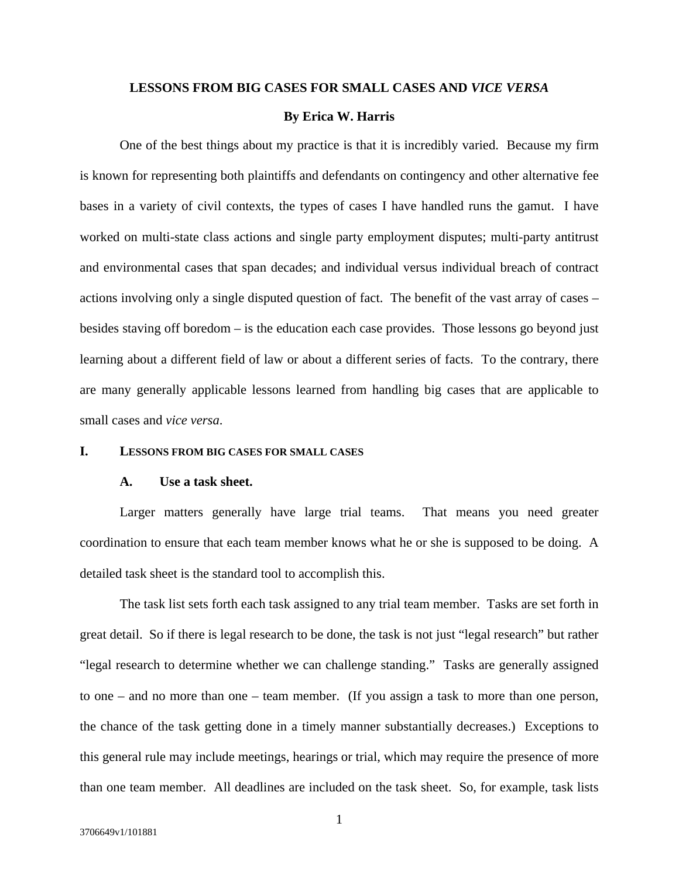#### **LESSONS FROM BIG CASES FOR SMALL CASES AND** *VICE VERSA*

#### **By Erica W. Harris**

One of the best things about my practice is that it is incredibly varied. Because my firm is known for representing both plaintiffs and defendants on contingency and other alternative fee bases in a variety of civil contexts, the types of cases I have handled runs the gamut. I have worked on multi-state class actions and single party employment disputes; multi-party antitrust and environmental cases that span decades; and individual versus individual breach of contract actions involving only a single disputed question of fact. The benefit of the vast array of cases – besides staving off boredom – is the education each case provides. Those lessons go beyond just learning about a different field of law or about a different series of facts. To the contrary, there are many generally applicable lessons learned from handling big cases that are applicable to small cases and *vice versa*.

#### **I. LESSONS FROM BIG CASES FOR SMALL CASES**

### **A. Use a task sheet.**

Larger matters generally have large trial teams. That means you need greater coordination to ensure that each team member knows what he or she is supposed to be doing. A detailed task sheet is the standard tool to accomplish this.

The task list sets forth each task assigned to any trial team member. Tasks are set forth in great detail. So if there is legal research to be done, the task is not just "legal research" but rather "legal research to determine whether we can challenge standing." Tasks are generally assigned to one – and no more than one – team member. (If you assign a task to more than one person, the chance of the task getting done in a timely manner substantially decreases.) Exceptions to this general rule may include meetings, hearings or trial, which may require the presence of more than one team member. All deadlines are included on the task sheet. So, for example, task lists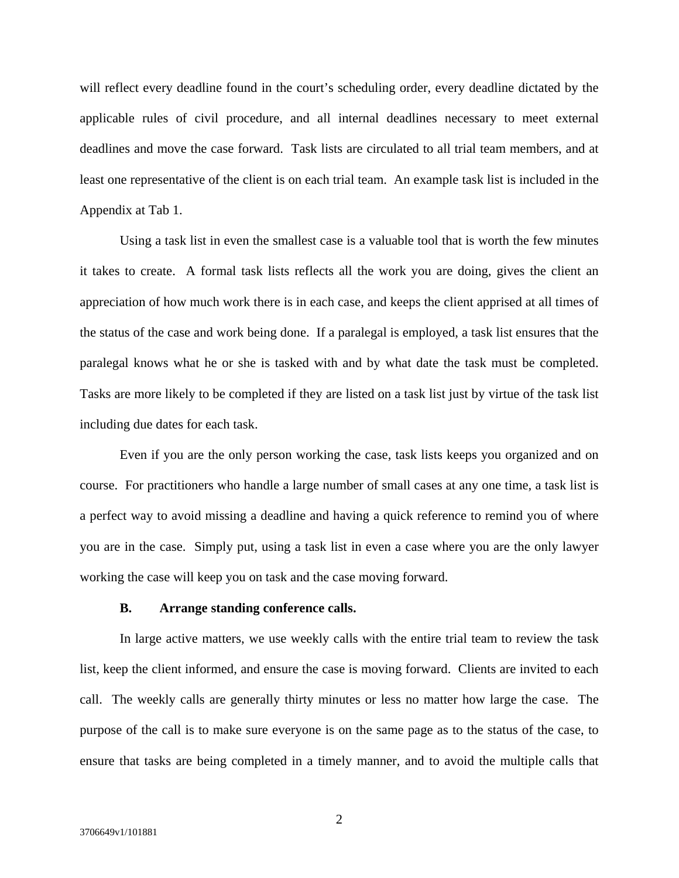will reflect every deadline found in the court's scheduling order, every deadline dictated by the applicable rules of civil procedure, and all internal deadlines necessary to meet external deadlines and move the case forward. Task lists are circulated to all trial team members, and at least one representative of the client is on each trial team. An example task list is included in the Appendix at Tab 1.

Using a task list in even the smallest case is a valuable tool that is worth the few minutes it takes to create. A formal task lists reflects all the work you are doing, gives the client an appreciation of how much work there is in each case, and keeps the client apprised at all times of the status of the case and work being done. If a paralegal is employed, a task list ensures that the paralegal knows what he or she is tasked with and by what date the task must be completed. Tasks are more likely to be completed if they are listed on a task list just by virtue of the task list including due dates for each task.

Even if you are the only person working the case, task lists keeps you organized and on course. For practitioners who handle a large number of small cases at any one time, a task list is a perfect way to avoid missing a deadline and having a quick reference to remind you of where you are in the case. Simply put, using a task list in even a case where you are the only lawyer working the case will keep you on task and the case moving forward.

## **B. Arrange standing conference calls.**

In large active matters, we use weekly calls with the entire trial team to review the task list, keep the client informed, and ensure the case is moving forward. Clients are invited to each call. The weekly calls are generally thirty minutes or less no matter how large the case. The purpose of the call is to make sure everyone is on the same page as to the status of the case, to ensure that tasks are being completed in a timely manner, and to avoid the multiple calls that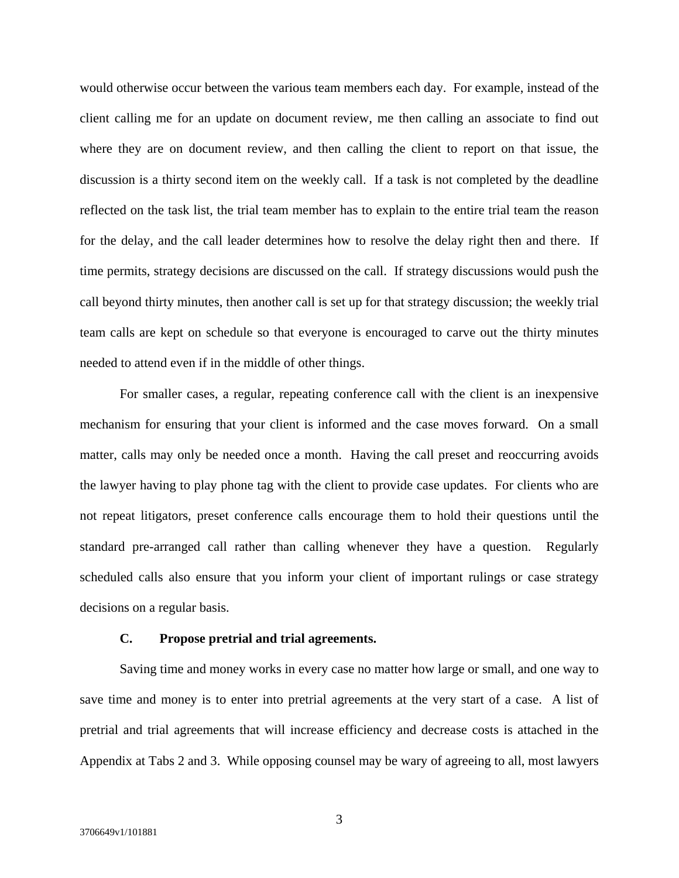would otherwise occur between the various team members each day. For example, instead of the client calling me for an update on document review, me then calling an associate to find out where they are on document review, and then calling the client to report on that issue, the discussion is a thirty second item on the weekly call. If a task is not completed by the deadline reflected on the task list, the trial team member has to explain to the entire trial team the reason for the delay, and the call leader determines how to resolve the delay right then and there. If time permits, strategy decisions are discussed on the call. If strategy discussions would push the call beyond thirty minutes, then another call is set up for that strategy discussion; the weekly trial team calls are kept on schedule so that everyone is encouraged to carve out the thirty minutes needed to attend even if in the middle of other things.

For smaller cases, a regular, repeating conference call with the client is an inexpensive mechanism for ensuring that your client is informed and the case moves forward. On a small matter, calls may only be needed once a month. Having the call preset and reoccurring avoids the lawyer having to play phone tag with the client to provide case updates. For clients who are not repeat litigators, preset conference calls encourage them to hold their questions until the standard pre-arranged call rather than calling whenever they have a question. Regularly scheduled calls also ensure that you inform your client of important rulings or case strategy decisions on a regular basis.

#### **C. Propose pretrial and trial agreements.**

Saving time and money works in every case no matter how large or small, and one way to save time and money is to enter into pretrial agreements at the very start of a case. A list of pretrial and trial agreements that will increase efficiency and decrease costs is attached in the Appendix at Tabs 2 and 3. While opposing counsel may be wary of agreeing to all, most lawyers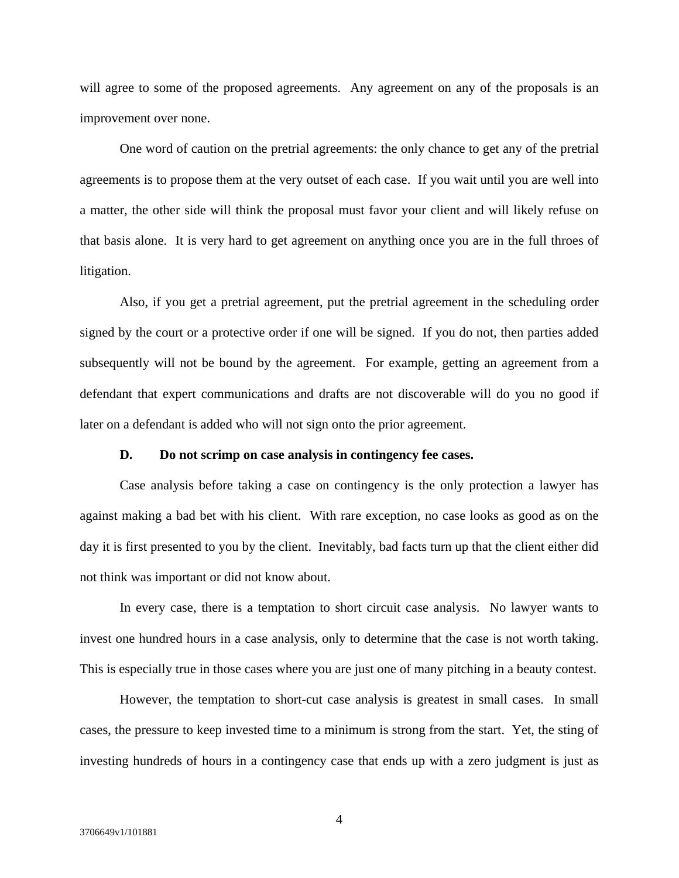will agree to some of the proposed agreements. Any agreement on any of the proposals is an improvement over none.

One word of caution on the pretrial agreements: the only chance to get any of the pretrial agreements is to propose them at the very outset of each case. If you wait until you are well into a matter, the other side will think the proposal must favor your client and will likely refuse on that basis alone. It is very hard to get agreement on anything once you are in the full throes of litigation.

Also, if you get a pretrial agreement, put the pretrial agreement in the scheduling order signed by the court or a protective order if one will be signed. If you do not, then parties added subsequently will not be bound by the agreement. For example, getting an agreement from a defendant that expert communications and drafts are not discoverable will do you no good if later on a defendant is added who will not sign onto the prior agreement.

### **D. Do not scrimp on case analysis in contingency fee cases.**

Case analysis before taking a case on contingency is the only protection a lawyer has against making a bad bet with his client. With rare exception, no case looks as good as on the day it is first presented to you by the client. Inevitably, bad facts turn up that the client either did not think was important or did not know about.

In every case, there is a temptation to short circuit case analysis. No lawyer wants to invest one hundred hours in a case analysis, only to determine that the case is not worth taking. This is especially true in those cases where you are just one of many pitching in a beauty contest.

However, the temptation to short-cut case analysis is greatest in small cases. In small cases, the pressure to keep invested time to a minimum is strong from the start. Yet, the sting of investing hundreds of hours in a contingency case that ends up with a zero judgment is just as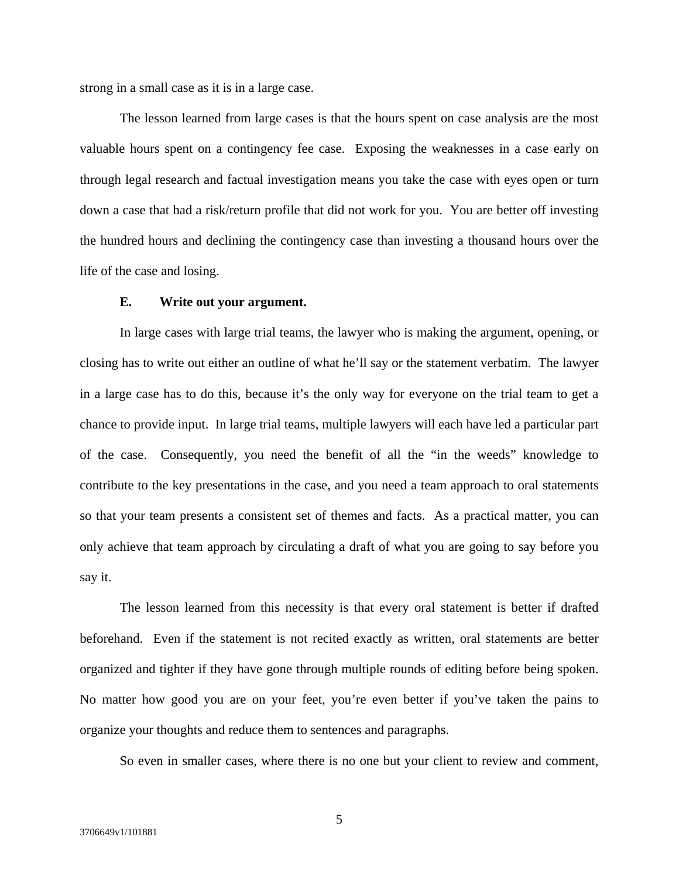strong in a small case as it is in a large case.

The lesson learned from large cases is that the hours spent on case analysis are the most valuable hours spent on a contingency fee case. Exposing the weaknesses in a case early on through legal research and factual investigation means you take the case with eyes open or turn down a case that had a risk/return profile that did not work for you. You are better off investing the hundred hours and declining the contingency case than investing a thousand hours over the life of the case and losing.

#### **E. Write out your argument.**

In large cases with large trial teams, the lawyer who is making the argument, opening, or closing has to write out either an outline of what he'll say or the statement verbatim. The lawyer in a large case has to do this, because it's the only way for everyone on the trial team to get a chance to provide input. In large trial teams, multiple lawyers will each have led a particular part of the case. Consequently, you need the benefit of all the "in the weeds" knowledge to contribute to the key presentations in the case, and you need a team approach to oral statements so that your team presents a consistent set of themes and facts. As a practical matter, you can only achieve that team approach by circulating a draft of what you are going to say before you say it.

The lesson learned from this necessity is that every oral statement is better if drafted beforehand. Even if the statement is not recited exactly as written, oral statements are better organized and tighter if they have gone through multiple rounds of editing before being spoken. No matter how good you are on your feet, you're even better if you've taken the pains to organize your thoughts and reduce them to sentences and paragraphs.

So even in smaller cases, where there is no one but your client to review and comment,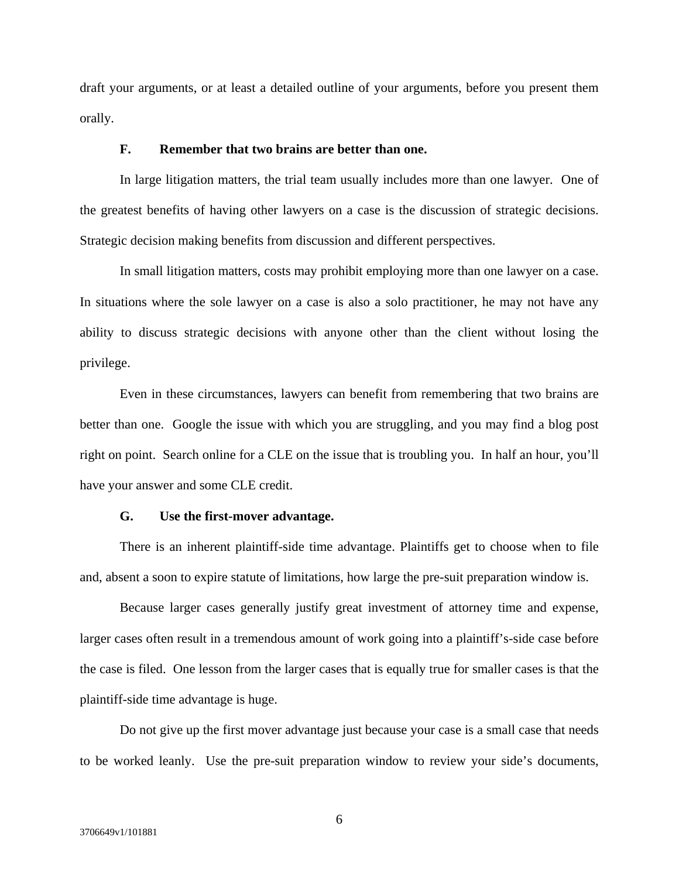draft your arguments, or at least a detailed outline of your arguments, before you present them orally.

## **F. Remember that two brains are better than one.**

In large litigation matters, the trial team usually includes more than one lawyer. One of the greatest benefits of having other lawyers on a case is the discussion of strategic decisions. Strategic decision making benefits from discussion and different perspectives.

In small litigation matters, costs may prohibit employing more than one lawyer on a case. In situations where the sole lawyer on a case is also a solo practitioner, he may not have any ability to discuss strategic decisions with anyone other than the client without losing the privilege.

Even in these circumstances, lawyers can benefit from remembering that two brains are better than one. Google the issue with which you are struggling, and you may find a blog post right on point. Search online for a CLE on the issue that is troubling you. In half an hour, you'll have your answer and some CLE credit.

#### **G. Use the first-mover advantage.**

There is an inherent plaintiff-side time advantage. Plaintiffs get to choose when to file and, absent a soon to expire statute of limitations, how large the pre-suit preparation window is.

Because larger cases generally justify great investment of attorney time and expense, larger cases often result in a tremendous amount of work going into a plaintiff's-side case before the case is filed. One lesson from the larger cases that is equally true for smaller cases is that the plaintiff-side time advantage is huge.

Do not give up the first mover advantage just because your case is a small case that needs to be worked leanly. Use the pre-suit preparation window to review your side's documents,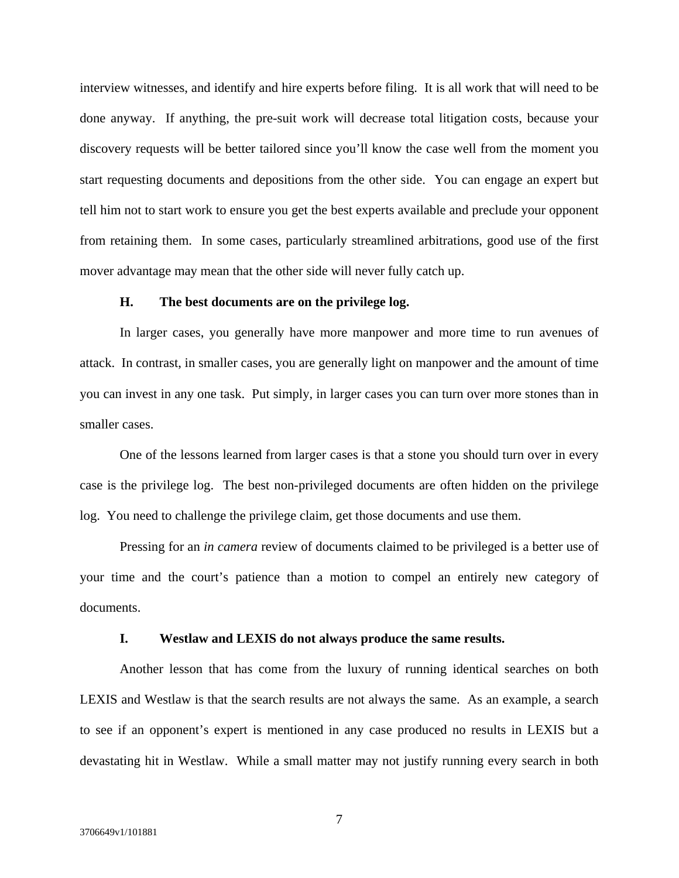interview witnesses, and identify and hire experts before filing. It is all work that will need to be done anyway. If anything, the pre-suit work will decrease total litigation costs, because your discovery requests will be better tailored since you'll know the case well from the moment you start requesting documents and depositions from the other side. You can engage an expert but tell him not to start work to ensure you get the best experts available and preclude your opponent from retaining them. In some cases, particularly streamlined arbitrations, good use of the first mover advantage may mean that the other side will never fully catch up.

### **H. The best documents are on the privilege log.**

In larger cases, you generally have more manpower and more time to run avenues of attack. In contrast, in smaller cases, you are generally light on manpower and the amount of time you can invest in any one task. Put simply, in larger cases you can turn over more stones than in smaller cases.

One of the lessons learned from larger cases is that a stone you should turn over in every case is the privilege log. The best non-privileged documents are often hidden on the privilege log. You need to challenge the privilege claim, get those documents and use them.

Pressing for an *in camera* review of documents claimed to be privileged is a better use of your time and the court's patience than a motion to compel an entirely new category of documents.

#### **I. Westlaw and LEXIS do not always produce the same results.**

Another lesson that has come from the luxury of running identical searches on both LEXIS and Westlaw is that the search results are not always the same. As an example, a search to see if an opponent's expert is mentioned in any case produced no results in LEXIS but a devastating hit in Westlaw. While a small matter may not justify running every search in both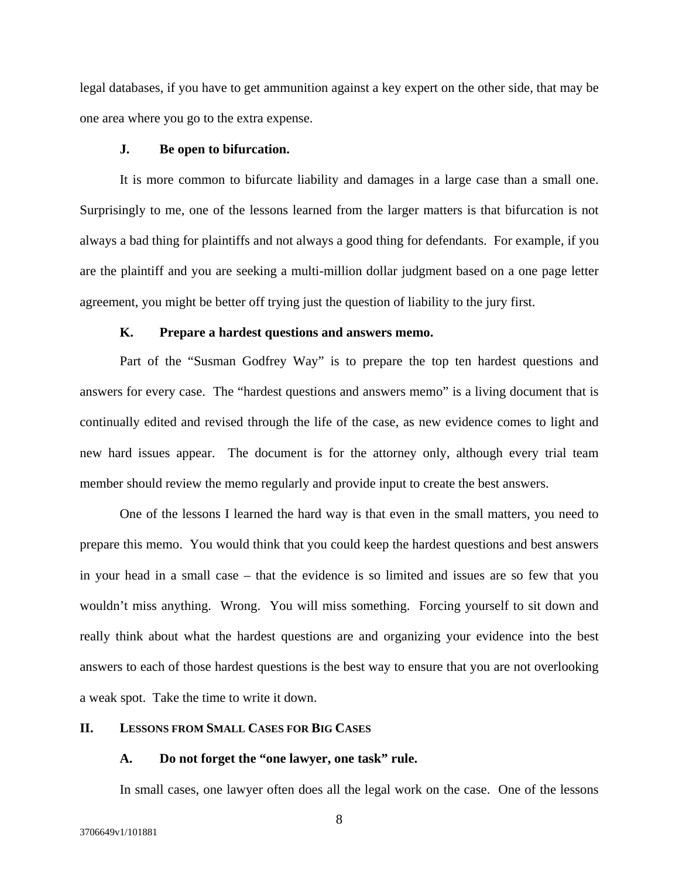legal databases, if you have to get ammunition against a key expert on the other side, that may be one area where you go to the extra expense.

#### **J. Be open to bifurcation.**

 It is more common to bifurcate liability and damages in a large case than a small one. Surprisingly to me, one of the lessons learned from the larger matters is that bifurcation is not always a bad thing for plaintiffs and not always a good thing for defendants. For example, if you are the plaintiff and you are seeking a multi-million dollar judgment based on a one page letter agreement, you might be better off trying just the question of liability to the jury first.

#### **K. Prepare a hardest questions and answers memo.**

Part of the "Susman Godfrey Way" is to prepare the top ten hardest questions and answers for every case. The "hardest questions and answers memo" is a living document that is continually edited and revised through the life of the case, as new evidence comes to light and new hard issues appear. The document is for the attorney only, although every trial team member should review the memo regularly and provide input to create the best answers.

One of the lessons I learned the hard way is that even in the small matters, you need to prepare this memo. You would think that you could keep the hardest questions and best answers in your head in a small case – that the evidence is so limited and issues are so few that you wouldn't miss anything. Wrong. You will miss something. Forcing yourself to sit down and really think about what the hardest questions are and organizing your evidence into the best answers to each of those hardest questions is the best way to ensure that you are not overlooking a weak spot. Take the time to write it down.

## **II. LESSONS FROM SMALL CASES FOR BIG CASES**

#### **A. Do not forget the "one lawyer, one task" rule.**

In small cases, one lawyer often does all the legal work on the case. One of the lessons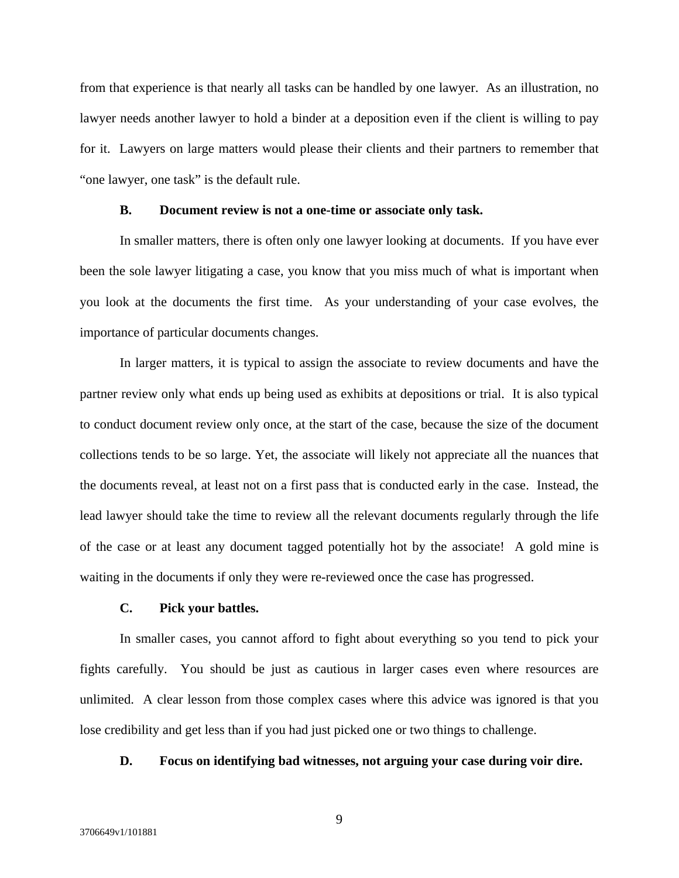from that experience is that nearly all tasks can be handled by one lawyer. As an illustration, no lawyer needs another lawyer to hold a binder at a deposition even if the client is willing to pay for it. Lawyers on large matters would please their clients and their partners to remember that "one lawyer, one task" is the default rule.

#### **B. Document review is not a one-time or associate only task.**

In smaller matters, there is often only one lawyer looking at documents. If you have ever been the sole lawyer litigating a case, you know that you miss much of what is important when you look at the documents the first time. As your understanding of your case evolves, the importance of particular documents changes.

In larger matters, it is typical to assign the associate to review documents and have the partner review only what ends up being used as exhibits at depositions or trial. It is also typical to conduct document review only once, at the start of the case, because the size of the document collections tends to be so large. Yet, the associate will likely not appreciate all the nuances that the documents reveal, at least not on a first pass that is conducted early in the case. Instead, the lead lawyer should take the time to review all the relevant documents regularly through the life of the case or at least any document tagged potentially hot by the associate! A gold mine is waiting in the documents if only they were re-reviewed once the case has progressed.

#### **C. Pick your battles.**

In smaller cases, you cannot afford to fight about everything so you tend to pick your fights carefully. You should be just as cautious in larger cases even where resources are unlimited. A clear lesson from those complex cases where this advice was ignored is that you lose credibility and get less than if you had just picked one or two things to challenge.

#### **D. Focus on identifying bad witnesses, not arguing your case during voir dire.**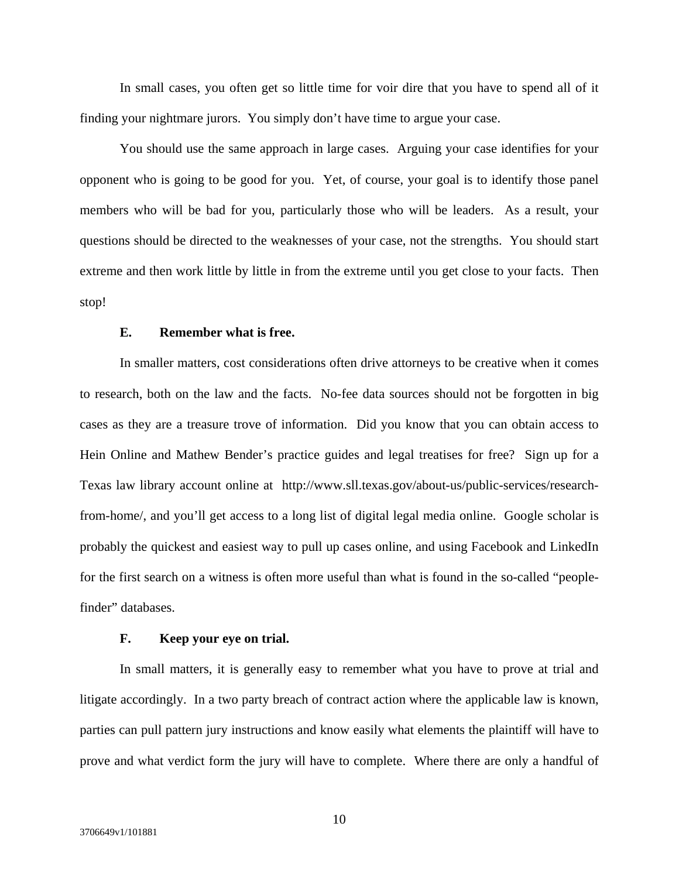In small cases, you often get so little time for voir dire that you have to spend all of it finding your nightmare jurors. You simply don't have time to argue your case.

You should use the same approach in large cases. Arguing your case identifies for your opponent who is going to be good for you. Yet, of course, your goal is to identify those panel members who will be bad for you, particularly those who will be leaders. As a result, your questions should be directed to the weaknesses of your case, not the strengths. You should start extreme and then work little by little in from the extreme until you get close to your facts. Then stop!

#### **E. Remember what is free.**

In smaller matters, cost considerations often drive attorneys to be creative when it comes to research, both on the law and the facts. No-fee data sources should not be forgotten in big cases as they are a treasure trove of information. Did you know that you can obtain access to Hein Online and Mathew Bender's practice guides and legal treatises for free? Sign up for a Texas law library account online at http://www.sll.texas.gov/about-us/public-services/researchfrom-home/, and you'll get access to a long list of digital legal media online. Google scholar is probably the quickest and easiest way to pull up cases online, and using Facebook and LinkedIn for the first search on a witness is often more useful than what is found in the so-called "peoplefinder" databases.

## **F. Keep your eye on trial.**

 In small matters, it is generally easy to remember what you have to prove at trial and litigate accordingly. In a two party breach of contract action where the applicable law is known, parties can pull pattern jury instructions and know easily what elements the plaintiff will have to prove and what verdict form the jury will have to complete. Where there are only a handful of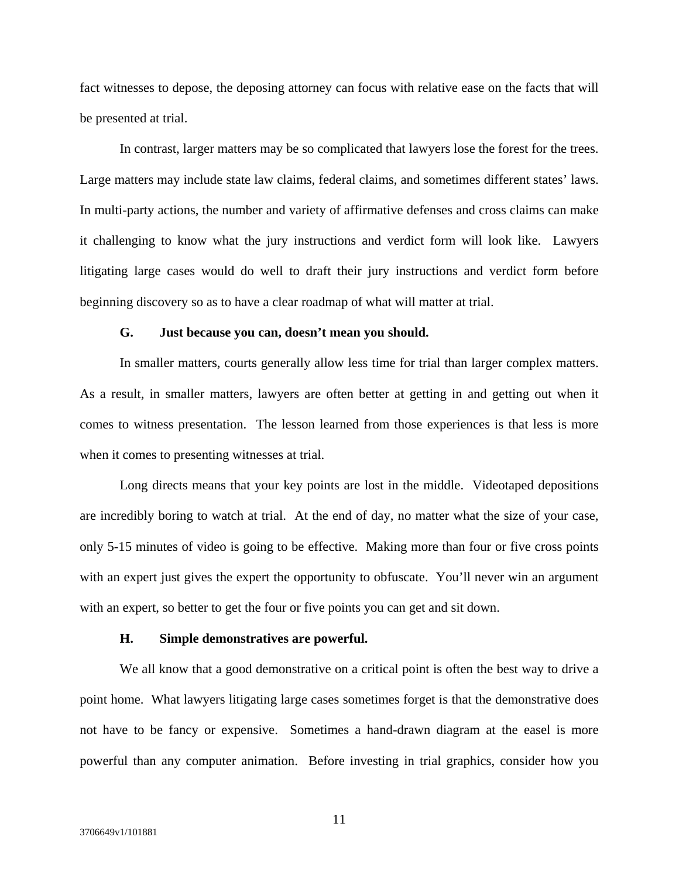fact witnesses to depose, the deposing attorney can focus with relative ease on the facts that will be presented at trial.

In contrast, larger matters may be so complicated that lawyers lose the forest for the trees. Large matters may include state law claims, federal claims, and sometimes different states' laws. In multi-party actions, the number and variety of affirmative defenses and cross claims can make it challenging to know what the jury instructions and verdict form will look like. Lawyers litigating large cases would do well to draft their jury instructions and verdict form before beginning discovery so as to have a clear roadmap of what will matter at trial.

#### **G. Just because you can, doesn't mean you should.**

In smaller matters, courts generally allow less time for trial than larger complex matters. As a result, in smaller matters, lawyers are often better at getting in and getting out when it comes to witness presentation. The lesson learned from those experiences is that less is more when it comes to presenting witnesses at trial.

Long directs means that your key points are lost in the middle. Videotaped depositions are incredibly boring to watch at trial. At the end of day, no matter what the size of your case, only 5-15 minutes of video is going to be effective. Making more than four or five cross points with an expert just gives the expert the opportunity to obfuscate. You'll never win an argument with an expert, so better to get the four or five points you can get and sit down.

#### **H. Simple demonstratives are powerful.**

We all know that a good demonstrative on a critical point is often the best way to drive a point home. What lawyers litigating large cases sometimes forget is that the demonstrative does not have to be fancy or expensive. Sometimes a hand-drawn diagram at the easel is more powerful than any computer animation. Before investing in trial graphics, consider how you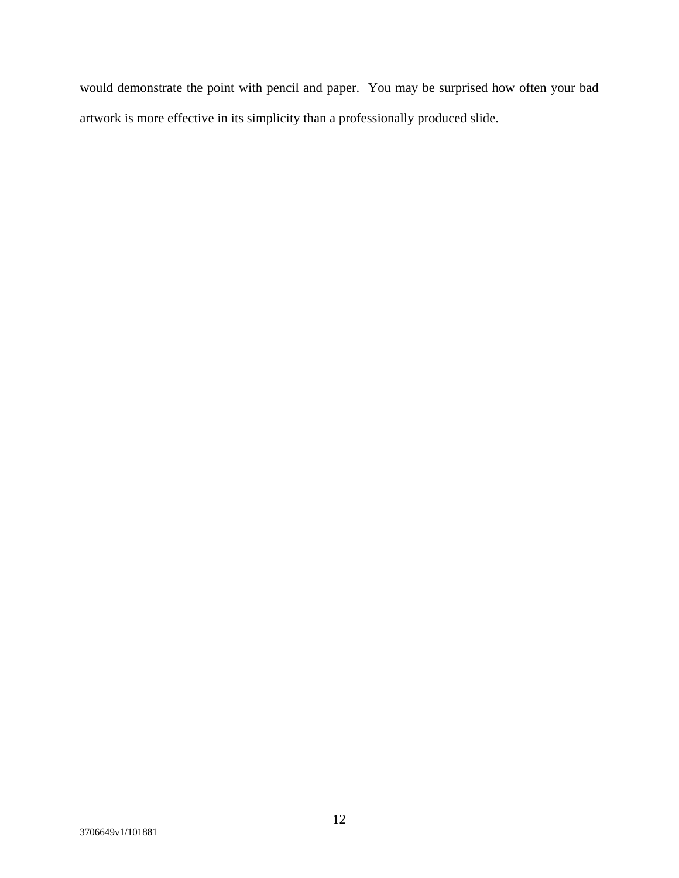would demonstrate the point with pencil and paper. You may be surprised how often your bad artwork is more effective in its simplicity than a professionally produced slide.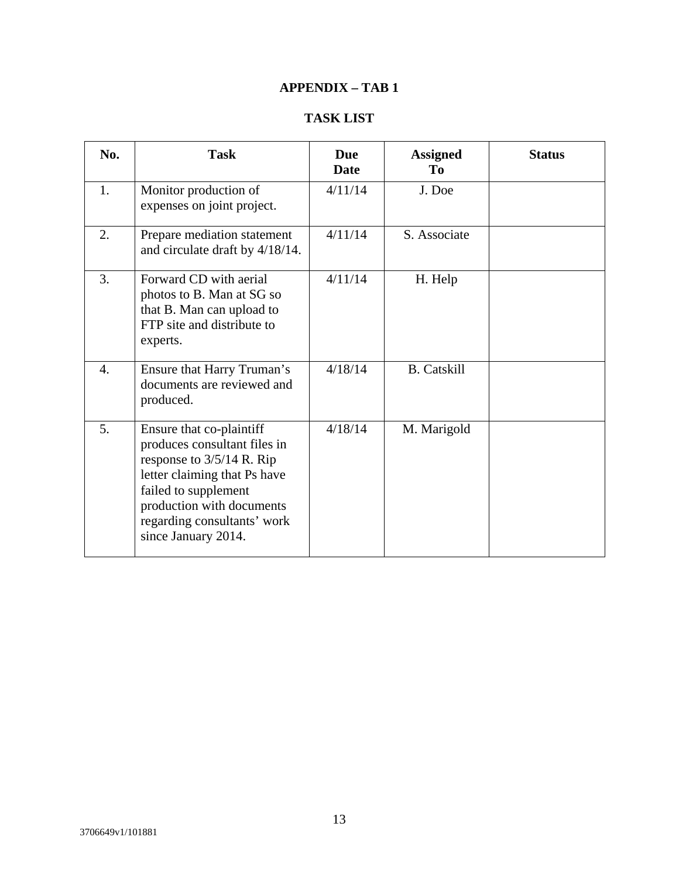# **APPENDIX – TAB 1**

# **TASK LIST**

| No.              | <b>Task</b>                                                                                                                                                                                                                        | <b>Due</b><br>Date | <b>Assigned</b><br>To | <b>Status</b> |
|------------------|------------------------------------------------------------------------------------------------------------------------------------------------------------------------------------------------------------------------------------|--------------------|-----------------------|---------------|
| 1.               | Monitor production of<br>expenses on joint project.                                                                                                                                                                                | 4/11/14            | J. Doe                |               |
| 2.               | Prepare mediation statement<br>and circulate draft by 4/18/14.                                                                                                                                                                     | 4/11/14            | S. Associate          |               |
| 3.               | Forward CD with aerial<br>photos to B. Man at SG so<br>that B. Man can upload to<br>FTP site and distribute to<br>experts.                                                                                                         | 4/11/14            | H. Help               |               |
| $\overline{4}$ . | Ensure that Harry Truman's<br>documents are reviewed and<br>produced.                                                                                                                                                              | 4/18/14            | <b>B.</b> Catskill    |               |
| 5.               | Ensure that co-plaintiff<br>produces consultant files in<br>response to $3/5/14$ R. Rip<br>letter claiming that Ps have<br>failed to supplement<br>production with documents<br>regarding consultants' work<br>since January 2014. | 4/18/14            | M. Marigold           |               |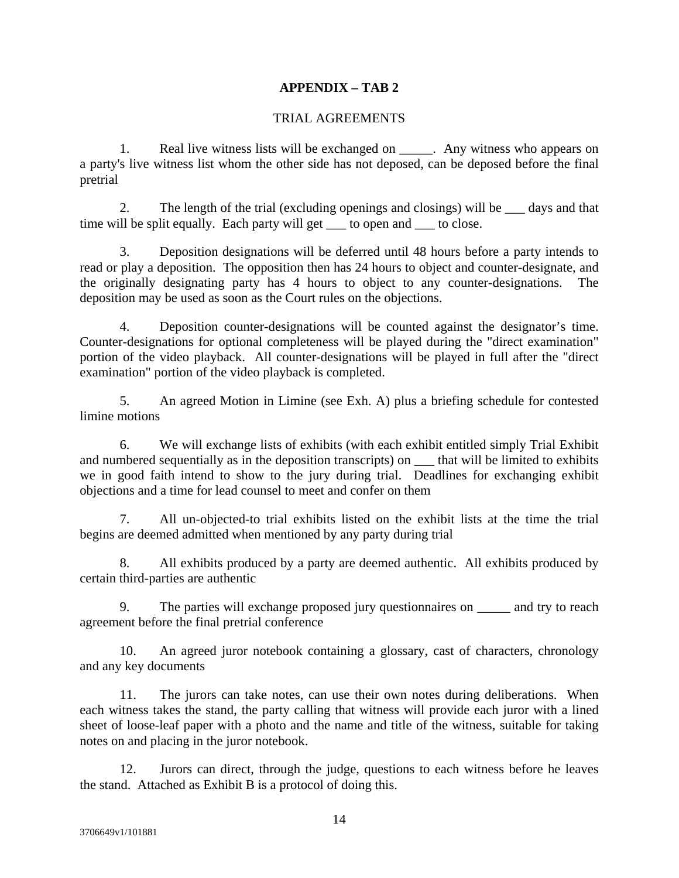## **APPENDIX – TAB 2**

## TRIAL AGREEMENTS

1. Real live witness lists will be exchanged on \_\_\_\_\_. Any witness who appears on a party's live witness list whom the other side has not deposed, can be deposed before the final pretrial

2. The length of the trial (excluding openings and closings) will be \_\_\_ days and that time will be split equally. Each party will get \_\_\_ to open and \_\_\_ to close.

3. Deposition designations will be deferred until 48 hours before a party intends to read or play a deposition. The opposition then has 24 hours to object and counter-designate, and the originally designating party has 4 hours to object to any counter-designations. The deposition may be used as soon as the Court rules on the objections.

4. Deposition counter-designations will be counted against the designator's time. Counter-designations for optional completeness will be played during the "direct examination" portion of the video playback. All counter-designations will be played in full after the "direct examination" portion of the video playback is completed.

5. An agreed Motion in Limine (see Exh. A) plus a briefing schedule for contested limine motions

6. We will exchange lists of exhibits (with each exhibit entitled simply Trial Exhibit and numbered sequentially as in the deposition transcripts) on  $\quad$  that will be limited to exhibits we in good faith intend to show to the jury during trial. Deadlines for exchanging exhibit objections and a time for lead counsel to meet and confer on them

7. All un-objected-to trial exhibits listed on the exhibit lists at the time the trial begins are deemed admitted when mentioned by any party during trial

8. All exhibits produced by a party are deemed authentic. All exhibits produced by certain third-parties are authentic

9. The parties will exchange proposed jury questionnaires on \_\_\_\_\_ and try to reach agreement before the final pretrial conference

10. An agreed juror notebook containing a glossary, cast of characters, chronology and any key documents

11. The jurors can take notes, can use their own notes during deliberations. When each witness takes the stand, the party calling that witness will provide each juror with a lined sheet of loose-leaf paper with a photo and the name and title of the witness, suitable for taking notes on and placing in the juror notebook.

12. Jurors can direct, through the judge, questions to each witness before he leaves the stand. Attached as Exhibit B is a protocol of doing this.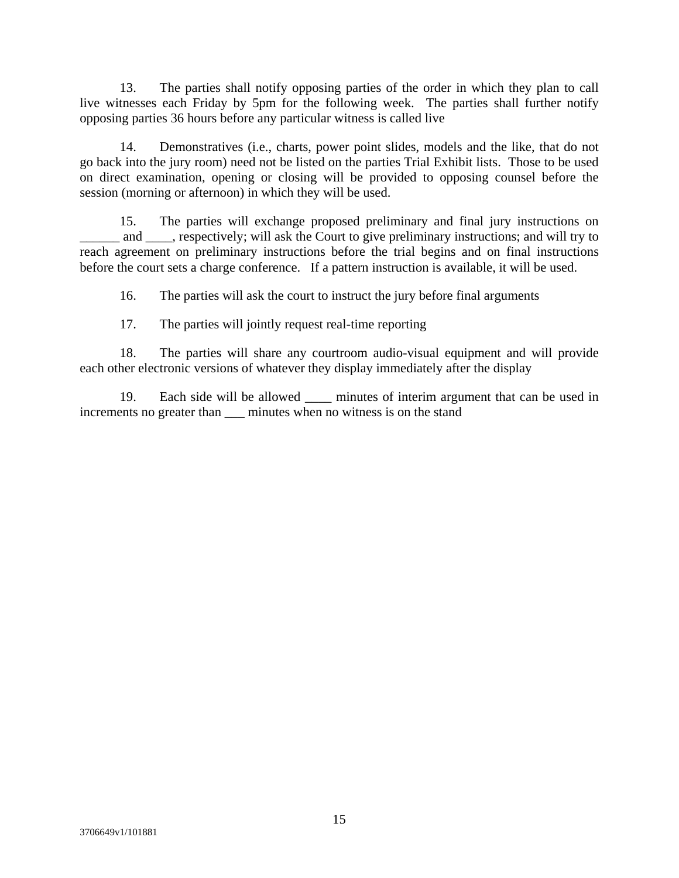13. The parties shall notify opposing parties of the order in which they plan to call live witnesses each Friday by 5pm for the following week. The parties shall further notify opposing parties 36 hours before any particular witness is called live

14. Demonstratives (i.e., charts, power point slides, models and the like, that do not go back into the jury room) need not be listed on the parties Trial Exhibit lists. Those to be used on direct examination, opening or closing will be provided to opposing counsel before the session (morning or afternoon) in which they will be used.

15. The parties will exchange proposed preliminary and final jury instructions on and respectively; will ask the Court to give preliminary instructions; and will try to reach agreement on preliminary instructions before the trial begins and on final instructions before the court sets a charge conference. If a pattern instruction is available, it will be used.

16. The parties will ask the court to instruct the jury before final arguments

17. The parties will jointly request real-time reporting

18. The parties will share any courtroom audio-visual equipment and will provide each other electronic versions of whatever they display immediately after the display

19. Each side will be allowed \_\_\_\_ minutes of interim argument that can be used in increments no greater than  $\frac{1}{\sqrt{2}}$  minutes when no witness is on the stand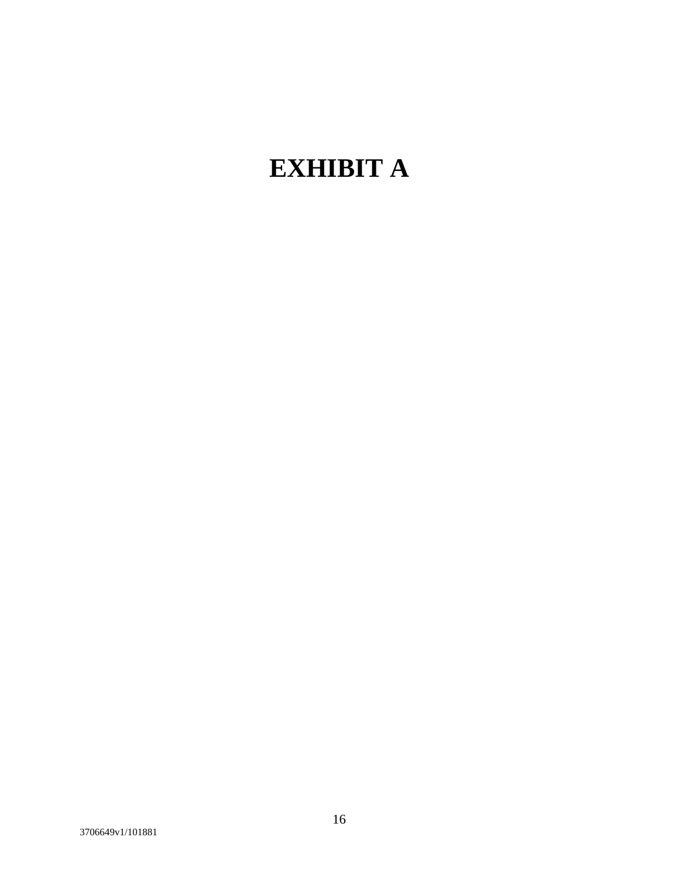# **EXHIBIT A**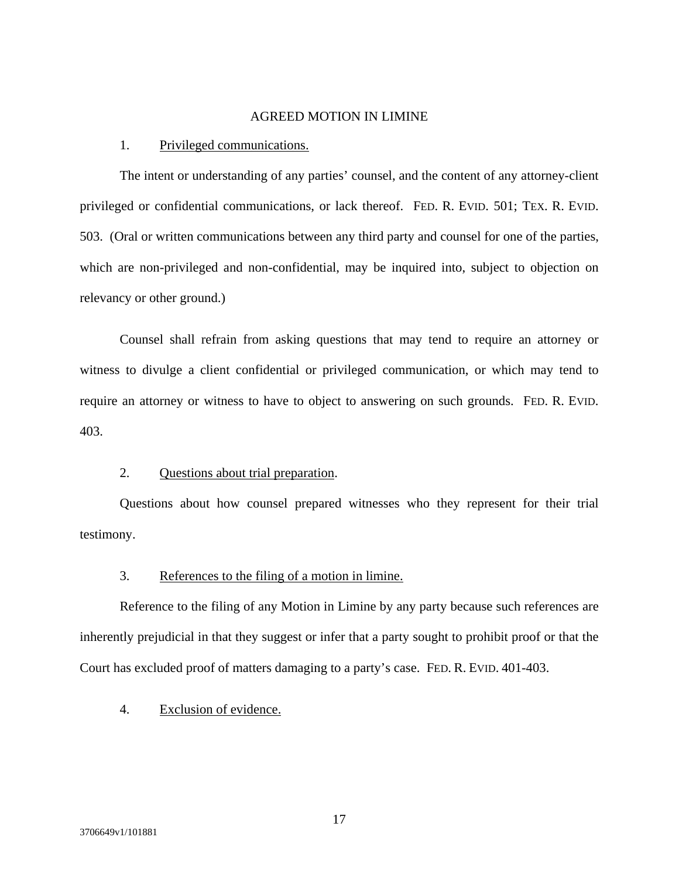## AGREED MOTION IN LIMINE

#### 1. Privileged communications.

The intent or understanding of any parties' counsel, and the content of any attorney-client privileged or confidential communications, or lack thereof. FED. R. EVID. 501; TEX. R. EVID. 503. (Oral or written communications between any third party and counsel for one of the parties, which are non-privileged and non-confidential, may be inquired into, subject to objection on relevancy or other ground.)

Counsel shall refrain from asking questions that may tend to require an attorney or witness to divulge a client confidential or privileged communication, or which may tend to require an attorney or witness to have to object to answering on such grounds. FED. R. EVID. 403.

## 2. Questions about trial preparation.

 Questions about how counsel prepared witnesses who they represent for their trial testimony.

## 3. References to the filing of a motion in limine.

Reference to the filing of any Motion in Limine by any party because such references are inherently prejudicial in that they suggest or infer that a party sought to prohibit proof or that the Court has excluded proof of matters damaging to a party's case. FED. R. EVID. 401-403.

## 4. Exclusion of evidence.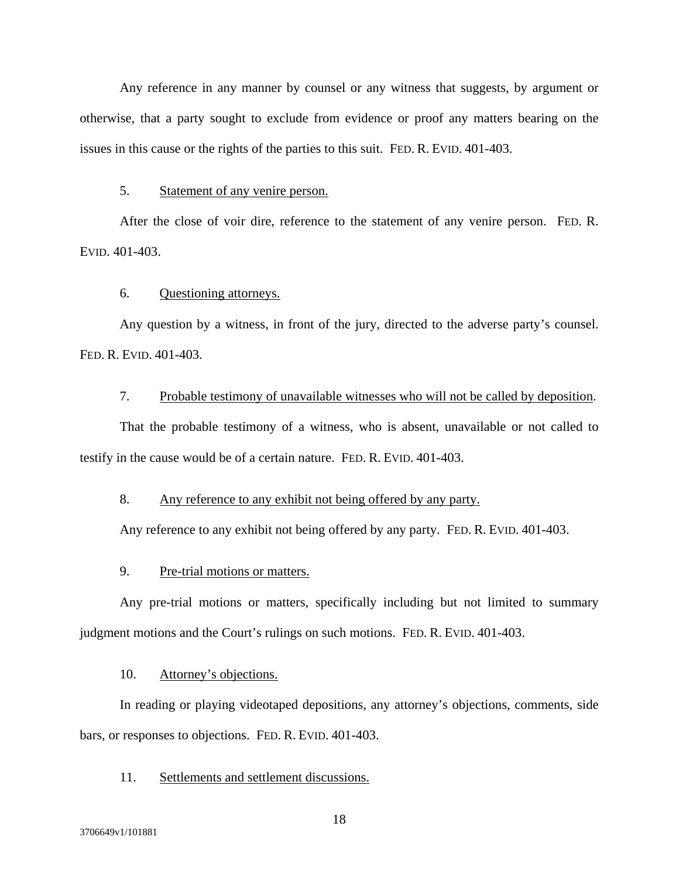Any reference in any manner by counsel or any witness that suggests, by argument or otherwise, that a party sought to exclude from evidence or proof any matters bearing on the issues in this cause or the rights of the parties to this suit. FED. R. EVID. 401-403.

## 5. Statement of any venire person.

After the close of voir dire, reference to the statement of any venire person. FED. R. EVID. 401-403.

## 6. Questioning attorneys.

Any question by a witness, in front of the jury, directed to the adverse party's counsel. FED. R. EVID. 401-403.

## 7. Probable testimony of unavailable witnesses who will not be called by deposition.

That the probable testimony of a witness, who is absent, unavailable or not called to testify in the cause would be of a certain nature.FED. R. EVID. 401-403.

## 8. Any reference to any exhibit not being offered by any party.

Any reference to any exhibit not being offered by any party. FED. R. EVID. 401-403.

## 9. Pre-trial motions or matters.

Any pre-trial motions or matters, specifically including but not limited to summary judgment motions and the Court's rulings on such motions. FED. R. EVID. 401-403.

### 10. Attorney's objections.

In reading or playing videotaped depositions, any attorney's objections, comments, side bars, or responses to objections. FED. R. EVID. 401-403.

## 11. Settlements and settlement discussions.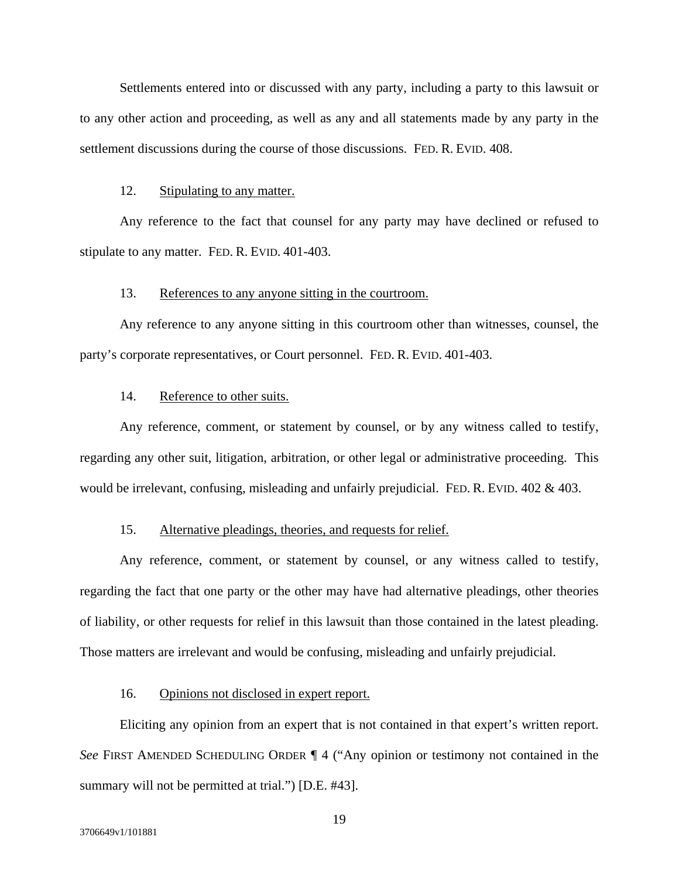Settlements entered into or discussed with any party, including a party to this lawsuit or to any other action and proceeding, as well as any and all statements made by any party in the settlement discussions during the course of those discussions. FED. R. EVID. 408.

#### 12. Stipulating to any matter.

Any reference to the fact that counsel for any party may have declined or refused to stipulate to any matter. FED. R. EVID. 401-403.

## 13. References to any anyone sitting in the courtroom.

Any reference to any anyone sitting in this courtroom other than witnesses, counsel, the party's corporate representatives, or Court personnel. FED. R. EVID. 401-403.

## 14. Reference to other suits.

Any reference, comment, or statement by counsel, or by any witness called to testify, regarding any other suit, litigation, arbitration, or other legal or administrative proceeding. This would be irrelevant, confusing, misleading and unfairly prejudicial. FED. R. EVID. 402 & 403.

## 15. Alternative pleadings, theories, and requests for relief.

Any reference, comment, or statement by counsel, or any witness called to testify, regarding the fact that one party or the other may have had alternative pleadings, other theories of liability, or other requests for relief in this lawsuit than those contained in the latest pleading. Those matters are irrelevant and would be confusing, misleading and unfairly prejudicial.

#### 16. Opinions not disclosed in expert report.

Eliciting any opinion from an expert that is not contained in that expert's written report. *See* FIRST AMENDED SCHEDULING ORDER ¶ 4 ("Any opinion or testimony not contained in the summary will not be permitted at trial.") [D.E. #43].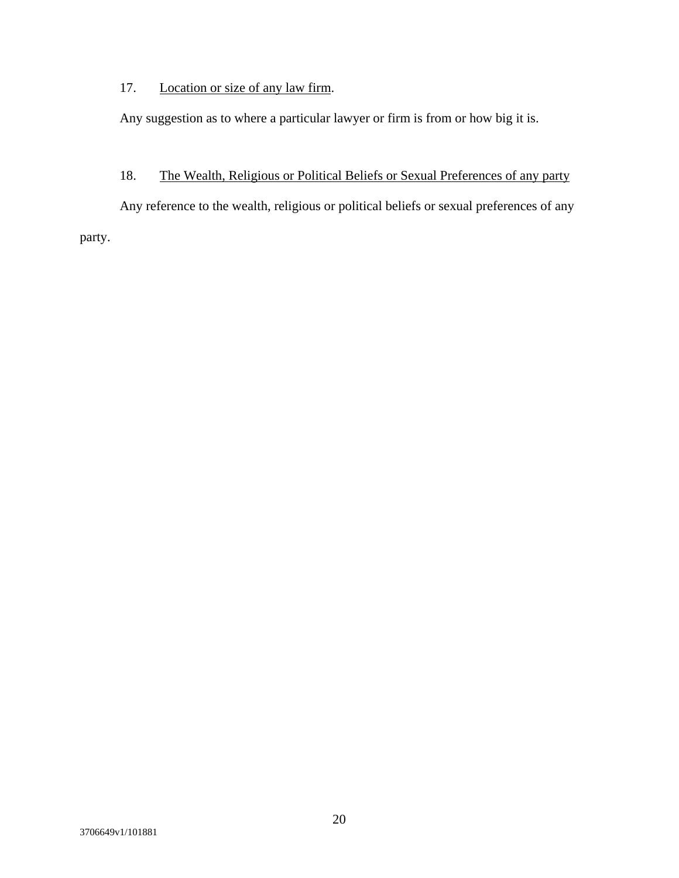# 17. Location or size of any law firm.

Any suggestion as to where a particular lawyer or firm is from or how big it is.

# 18. The Wealth, Religious or Political Beliefs or Sexual Preferences of any party

Any reference to the wealth, religious or political beliefs or sexual preferences of any party.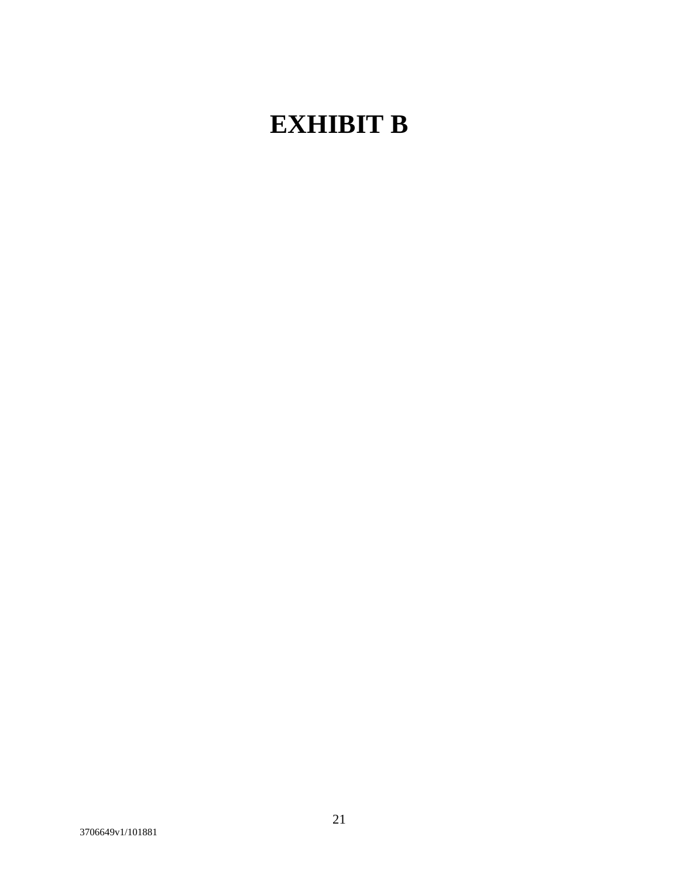# **EXHIBIT B**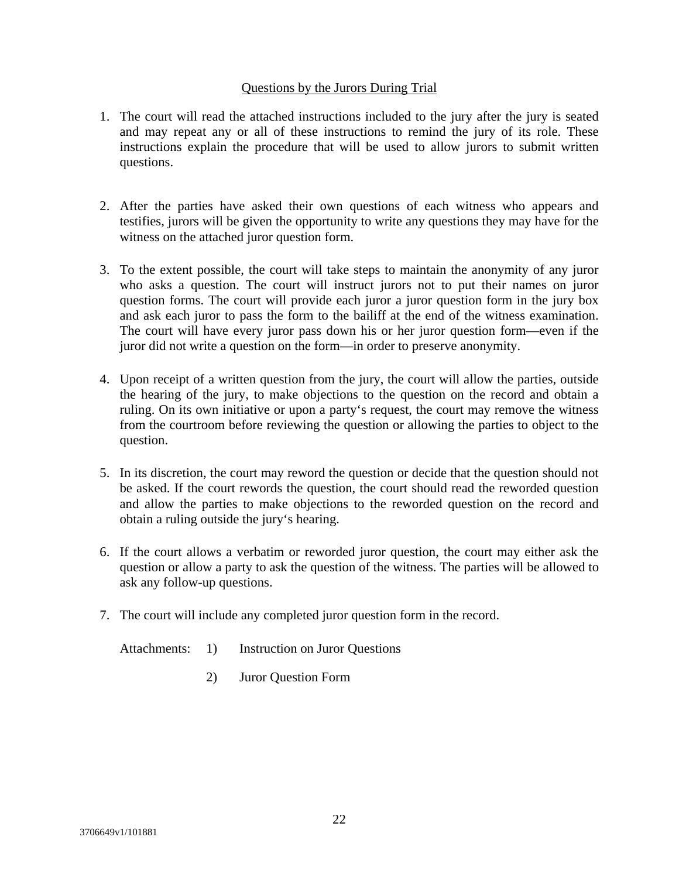## Questions by the Jurors During Trial

- 1. The court will read the attached instructions included to the jury after the jury is seated and may repeat any or all of these instructions to remind the jury of its role. These instructions explain the procedure that will be used to allow jurors to submit written questions.
- 2. After the parties have asked their own questions of each witness who appears and testifies, jurors will be given the opportunity to write any questions they may have for the witness on the attached juror question form.
- 3. To the extent possible, the court will take steps to maintain the anonymity of any juror who asks a question. The court will instruct jurors not to put their names on juror question forms. The court will provide each juror a juror question form in the jury box and ask each juror to pass the form to the bailiff at the end of the witness examination. The court will have every juror pass down his or her juror question form—even if the juror did not write a question on the form—in order to preserve anonymity.
- 4. Upon receipt of a written question from the jury, the court will allow the parties, outside the hearing of the jury, to make objections to the question on the record and obtain a ruling. On its own initiative or upon a party's request, the court may remove the witness from the courtroom before reviewing the question or allowing the parties to object to the question.
- 5. In its discretion, the court may reword the question or decide that the question should not be asked. If the court rewords the question, the court should read the reworded question and allow the parties to make objections to the reworded question on the record and obtain a ruling outside the jury's hearing.
- 6. If the court allows a verbatim or reworded juror question, the court may either ask the question or allow a party to ask the question of the witness. The parties will be allowed to ask any follow-up questions.
- 7. The court will include any completed juror question form in the record.

Attachments: 1) Instruction on Juror Questions

2) Juror Question Form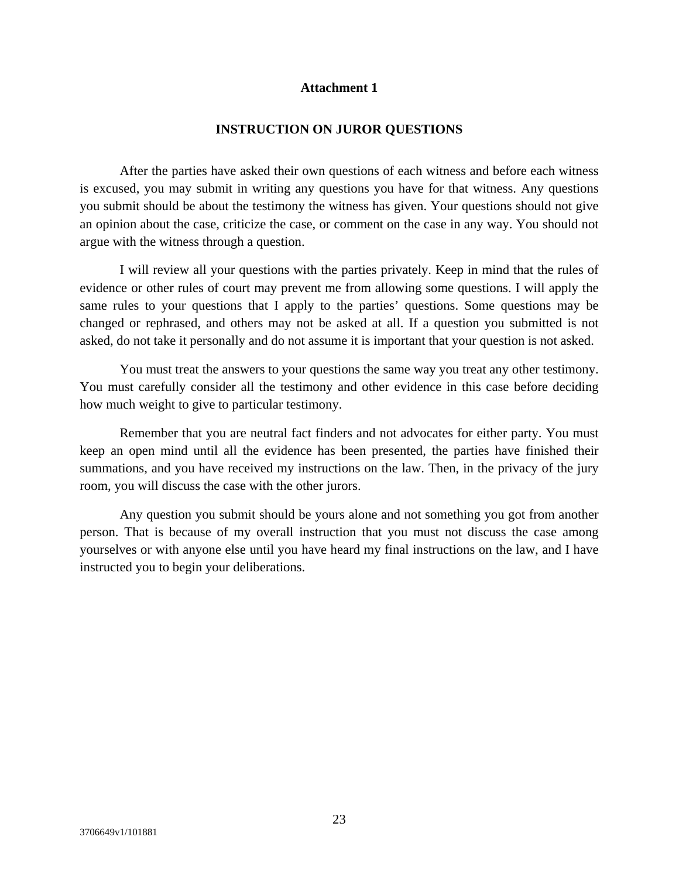## **Attachment 1**

### **INSTRUCTION ON JUROR QUESTIONS**

 After the parties have asked their own questions of each witness and before each witness is excused, you may submit in writing any questions you have for that witness. Any questions you submit should be about the testimony the witness has given. Your questions should not give an opinion about the case, criticize the case, or comment on the case in any way. You should not argue with the witness through a question.

 I will review all your questions with the parties privately. Keep in mind that the rules of evidence or other rules of court may prevent me from allowing some questions. I will apply the same rules to your questions that I apply to the parties' questions. Some questions may be changed or rephrased, and others may not be asked at all. If a question you submitted is not asked, do not take it personally and do not assume it is important that your question is not asked.

 You must treat the answers to your questions the same way you treat any other testimony. You must carefully consider all the testimony and other evidence in this case before deciding how much weight to give to particular testimony.

 Remember that you are neutral fact finders and not advocates for either party. You must keep an open mind until all the evidence has been presented, the parties have finished their summations, and you have received my instructions on the law. Then, in the privacy of the jury room, you will discuss the case with the other jurors.

 Any question you submit should be yours alone and not something you got from another person. That is because of my overall instruction that you must not discuss the case among yourselves or with anyone else until you have heard my final instructions on the law, and I have instructed you to begin your deliberations.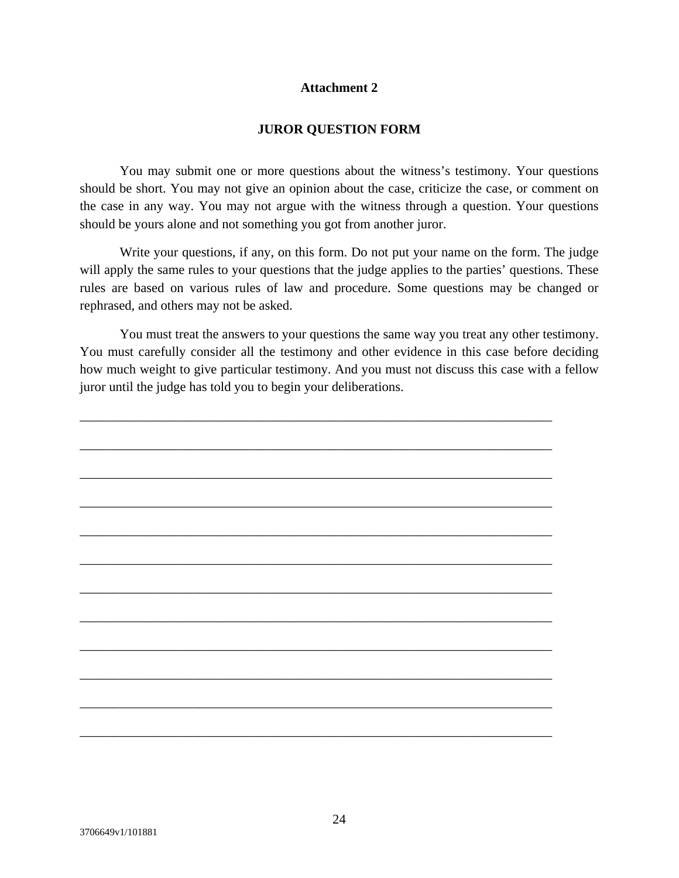## **Attachment 2**

## **JUROR QUESTION FORM**

 You may submit one or more questions about the witness's testimony. Your questions should be short. You may not give an opinion about the case, criticize the case, or comment on the case in any way. You may not argue with the witness through a question. Your questions should be yours alone and not something you got from another juror.

 Write your questions, if any, on this form. Do not put your name on the form. The judge will apply the same rules to your questions that the judge applies to the parties' questions. These rules are based on various rules of law and procedure. Some questions may be changed or rephrased, and others may not be asked.

 You must treat the answers to your questions the same way you treat any other testimony. You must carefully consider all the testimony and other evidence in this case before deciding how much weight to give particular testimony. And you must not discuss this case with a fellow juror until the judge has told you to begin your deliberations.

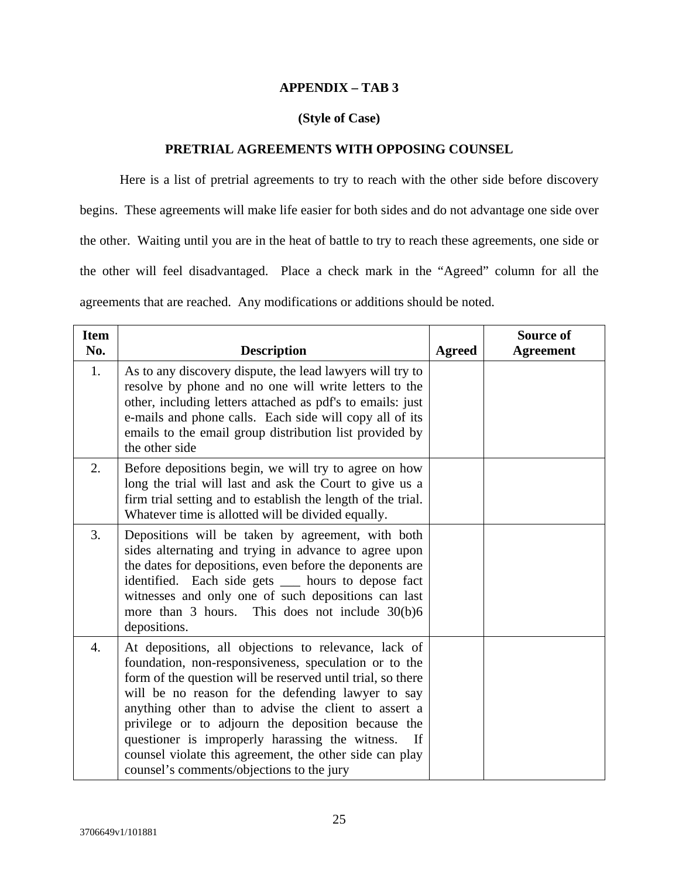## **APPENDIX – TAB 3**

## **(Style of Case)**

## **PRETRIAL AGREEMENTS WITH OPPOSING COUNSEL**

Here is a list of pretrial agreements to try to reach with the other side before discovery begins. These agreements will make life easier for both sides and do not advantage one side over the other. Waiting until you are in the heat of battle to try to reach these agreements, one side or the other will feel disadvantaged. Place a check mark in the "Agreed" column for all the agreements that are reached. Any modifications or additions should be noted.

| <b>Item</b><br>No. | <b>Description</b>                                                                                                                                                                                                                                                                                                                                                                                                                                                                                               | <b>Agreed</b> | <b>Source of</b><br><b>Agreement</b> |
|--------------------|------------------------------------------------------------------------------------------------------------------------------------------------------------------------------------------------------------------------------------------------------------------------------------------------------------------------------------------------------------------------------------------------------------------------------------------------------------------------------------------------------------------|---------------|--------------------------------------|
| 1.                 | As to any discovery dispute, the lead lawyers will try to<br>resolve by phone and no one will write letters to the<br>other, including letters attached as pdf's to emails: just<br>e-mails and phone calls. Each side will copy all of its<br>emails to the email group distribution list provided by<br>the other side                                                                                                                                                                                         |               |                                      |
| 2.                 | Before depositions begin, we will try to agree on how<br>long the trial will last and ask the Court to give us a<br>firm trial setting and to establish the length of the trial.<br>Whatever time is allotted will be divided equally.                                                                                                                                                                                                                                                                           |               |                                      |
| 3.                 | Depositions will be taken by agreement, with both<br>sides alternating and trying in advance to agree upon<br>the dates for depositions, even before the deponents are<br>identified. Each side gets ____ hours to depose fact<br>witnesses and only one of such depositions can last<br>more than 3 hours. This does not include 30(b)6<br>depositions.                                                                                                                                                         |               |                                      |
| $\overline{4}$ .   | At depositions, all objections to relevance, lack of<br>foundation, non-responsiveness, speculation or to the<br>form of the question will be reserved until trial, so there<br>will be no reason for the defending lawyer to say<br>anything other than to advise the client to assert a<br>privilege or to adjourn the deposition because the<br>questioner is improperly harassing the witness.<br>If<br>counsel violate this agreement, the other side can play<br>counsel's comments/objections to the jury |               |                                      |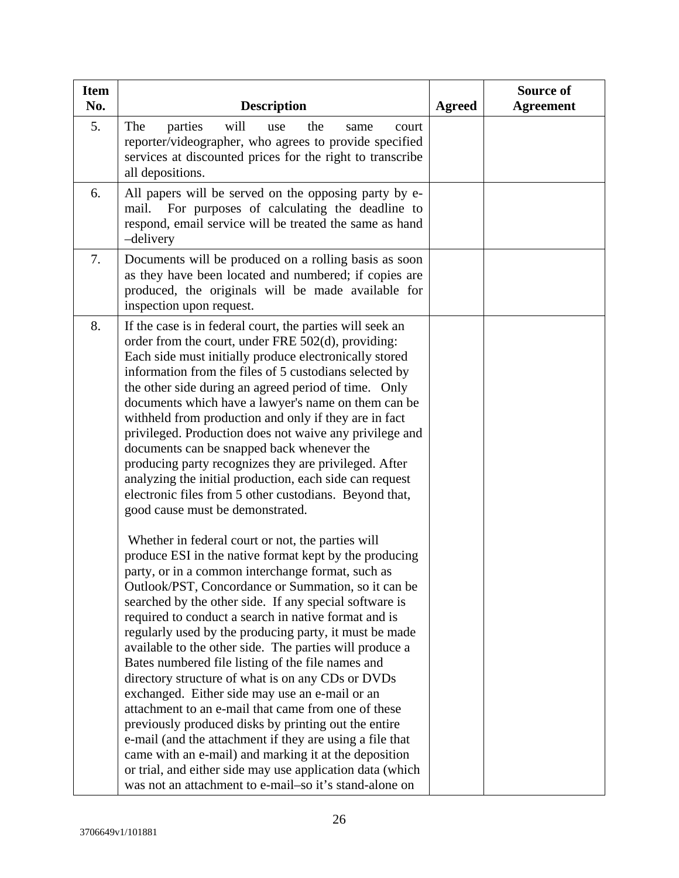| <b>Item</b><br>No. | <b>Description</b>                                                                                                                                                                                                                                                                                                                                                                                                                                                                                                                                                                                                                                                                                                                                                                                                                                                                                                                                                                    | <b>Agreed</b> | Source of<br><b>Agreement</b> |
|--------------------|---------------------------------------------------------------------------------------------------------------------------------------------------------------------------------------------------------------------------------------------------------------------------------------------------------------------------------------------------------------------------------------------------------------------------------------------------------------------------------------------------------------------------------------------------------------------------------------------------------------------------------------------------------------------------------------------------------------------------------------------------------------------------------------------------------------------------------------------------------------------------------------------------------------------------------------------------------------------------------------|---------------|-------------------------------|
| 5.                 | The<br>will<br>parties<br>the<br>use<br>same<br>court<br>reporter/videographer, who agrees to provide specified<br>services at discounted prices for the right to transcribe<br>all depositions.                                                                                                                                                                                                                                                                                                                                                                                                                                                                                                                                                                                                                                                                                                                                                                                      |               |                               |
| 6.                 | All papers will be served on the opposing party by e-<br>For purposes of calculating the deadline to<br>mail.<br>respond, email service will be treated the same as hand<br>-delivery                                                                                                                                                                                                                                                                                                                                                                                                                                                                                                                                                                                                                                                                                                                                                                                                 |               |                               |
| 7.                 | Documents will be produced on a rolling basis as soon<br>as they have been located and numbered; if copies are<br>produced, the originals will be made available for<br>inspection upon request.                                                                                                                                                                                                                                                                                                                                                                                                                                                                                                                                                                                                                                                                                                                                                                                      |               |                               |
| 8.                 | If the case is in federal court, the parties will seek an<br>order from the court, under FRE 502(d), providing:<br>Each side must initially produce electronically stored<br>information from the files of 5 custodians selected by<br>the other side during an agreed period of time. Only<br>documents which have a lawyer's name on them can be<br>withheld from production and only if they are in fact<br>privileged. Production does not waive any privilege and<br>documents can be snapped back whenever the<br>producing party recognizes they are privileged. After<br>analyzing the initial production, each side can request<br>electronic files from 5 other custodians. Beyond that,<br>good cause must be demonstrated.                                                                                                                                                                                                                                                |               |                               |
|                    | Whether in federal court or not, the parties will<br>produce ESI in the native format kept by the producing<br>party, or in a common interchange format, such as<br>Outlook/PST, Concordance or Summation, so it can be<br>searched by the other side. If any special software is<br>required to conduct a search in native format and is<br>regularly used by the producing party, it must be made<br>available to the other side. The parties will produce a<br>Bates numbered file listing of the file names and<br>directory structure of what is on any CDs or DVDs<br>exchanged. Either side may use an e-mail or an<br>attachment to an e-mail that came from one of these<br>previously produced disks by printing out the entire<br>e-mail (and the attachment if they are using a file that<br>came with an e-mail) and marking it at the deposition<br>or trial, and either side may use application data (which<br>was not an attachment to e-mail-so it's stand-alone on |               |                               |